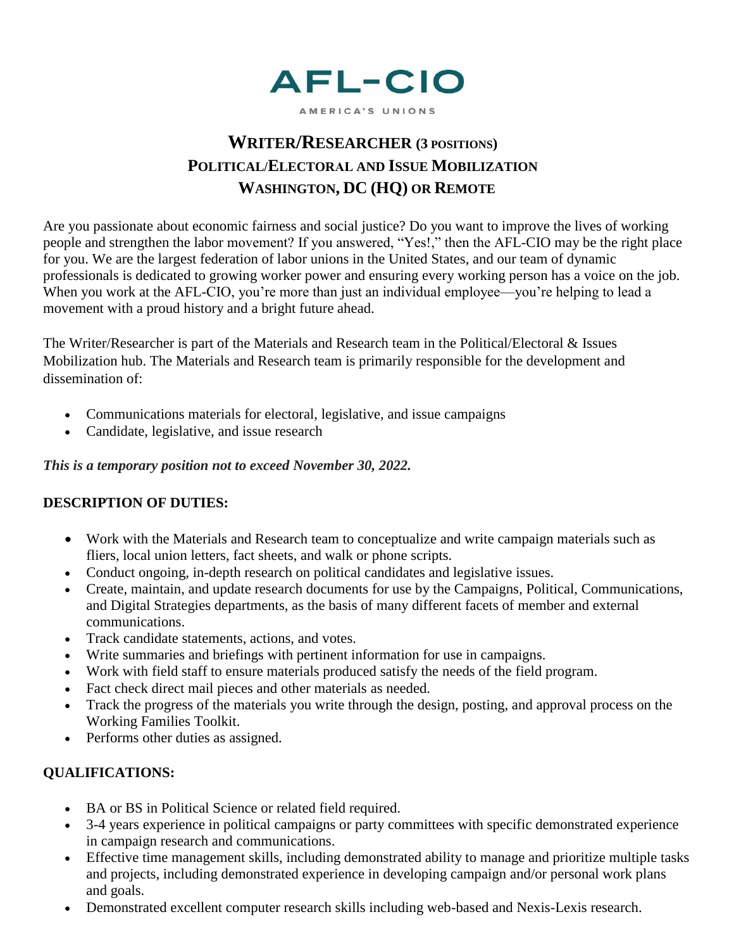

AMERICA'S UNIONS

# **WRITER/RESEARCHER (3 POSITIONS) POLITICAL/ELECTORAL AND ISSUE MOBILIZATION WASHINGTON, DC (HQ) OR REMOTE**

Are you passionate about economic fairness and social justice? Do you want to improve the lives of working people and strengthen the labor movement? If you answered, "Yes!," then the AFL-CIO may be the right place for you. We are the largest federation of labor unions in the United States, and our team of dynamic professionals is dedicated to growing worker power and ensuring every working person has a voice on the job. When you work at the AFL-CIO, you're more than just an individual employee—you're helping to lead a movement with a proud history and a bright future ahead.

The Writer/Researcher is part of the Materials and Research team in the Political/Electoral & Issues Mobilization hub. The Materials and Research team is primarily responsible for the development and dissemination of:

- Communications materials for electoral, legislative, and issue campaigns
- Candidate, legislative, and issue research

*This is a temporary position not to exceed November 30, 2022.*

## **DESCRIPTION OF DUTIES:**

- Work with the Materials and Research team to conceptualize and write campaign materials such as fliers, local union letters, fact sheets, and walk or phone scripts.
- Conduct ongoing, in-depth research on political candidates and legislative issues.
- Create, maintain, and update research documents for use by the Campaigns, Political, Communications, and Digital Strategies departments, as the basis of many different facets of member and external communications.
- Track candidate statements, actions, and votes.
- Write summaries and briefings with pertinent information for use in campaigns.
- Work with field staff to ensure materials produced satisfy the needs of the field program.
- Fact check direct mail pieces and other materials as needed.
- Track the progress of the materials you write through the design, posting, and approval process on the Working Families Toolkit.
- Performs other duties as assigned.

## **QUALIFICATIONS:**

- BA or BS in Political Science or related field required.
- 3-4 years experience in political campaigns or party committees with specific demonstrated experience in campaign research and communications.
- Effective time management skills, including demonstrated ability to manage and prioritize multiple tasks and projects, including demonstrated experience in developing campaign and/or personal work plans and goals.
- Demonstrated excellent computer research skills including web-based and Nexis-Lexis research.